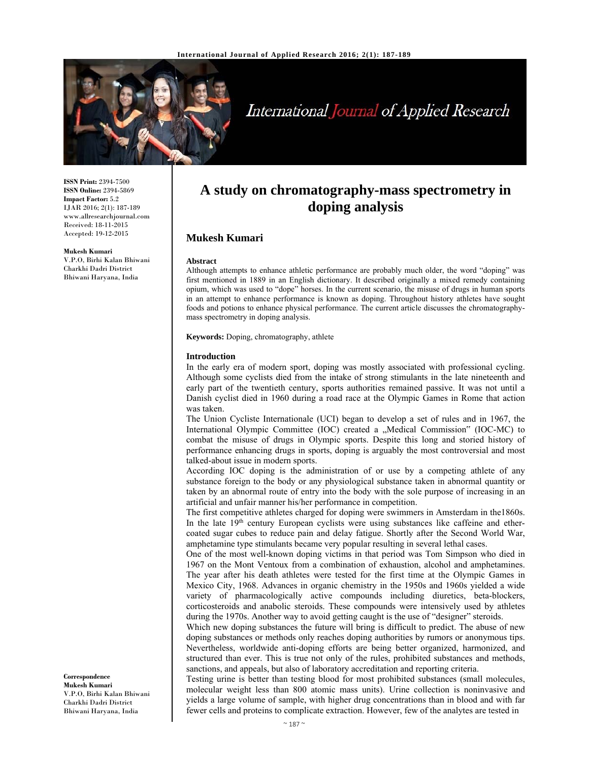

# International Journal of Applied Research

**ISSN Print:** 2394-7500 **ISSN Online:** 2394-5869 **Impact Factor:** 5.2 IJAR 2016; 2(1): 187-189 www.allresearchjournal.com Received: 18-11-2015 Accepted: 19-12-2015

**Mukesh Kumari**  V.P.O, Birhi Kalan Bhiwani Charkhi Dadri District Bhiwani Haryana, India

# **A study on chromatography-mass spectrometry in doping analysis**

## **Mukesh Kumari**

#### **Abstract**

Although attempts to enhance athletic performance are probably much older, the word "doping" was first mentioned in 1889 in an English dictionary. It described originally a mixed remedy containing opium, which was used to "dope" horses. In the current scenario, the misuse of drugs in human sports in an attempt to enhance performance is known as doping. Throughout history athletes have sought foods and potions to enhance physical performance. The current article discusses the chromatographymass spectrometry in doping analysis.

**Keywords:** Doping, chromatography, athlete

#### **Introduction**

In the early era of modern sport, doping was mostly associated with professional cycling. Although some cyclists died from the intake of strong stimulants in the late nineteenth and early part of the twentieth century, sports authorities remained passive. It was not until a Danish cyclist died in 1960 during a road race at the Olympic Games in Rome that action was taken.

The Union Cycliste Internationale (UCI) began to develop a set of rules and in 1967, the International Olympic Committee (IOC) created a "Medical Commission" (IOC-MC) to combat the misuse of drugs in Olympic sports. Despite this long and storied history of performance enhancing drugs in sports, doping is arguably the most controversial and most talked-about issue in modern sports.

According IOC doping is the administration of or use by a competing athlete of any substance foreign to the body or any physiological substance taken in abnormal quantity or taken by an abnormal route of entry into the body with the sole purpose of increasing in an artificial and unfair manner his/her performance in competition.

The first competitive athletes charged for doping were swimmers in Amsterdam in the1860s. In the late  $19<sup>th</sup>$  century European cyclists were using substances like caffeine and ethercoated sugar cubes to reduce pain and delay fatigue. Shortly after the Second World War, amphetamine type stimulants became very popular resulting in several lethal cases.

One of the most well-known doping victims in that period was Tom Simpson who died in 1967 on the Mont Ventoux from a combination of exhaustion, alcohol and amphetamines. The year after his death athletes were tested for the first time at the Olympic Games in Mexico City, 1968. Advances in organic chemistry in the 1950s and 1960s yielded a wide variety of pharmacologically active compounds including diuretics, beta-blockers, corticosteroids and anabolic steroids. These compounds were intensively used by athletes during the 1970s. Another way to avoid getting caught is the use of "designer" steroids.

Which new doping substances the future will bring is difficult to predict. The abuse of new doping substances or methods only reaches doping authorities by rumors or anonymous tips. Nevertheless, worldwide anti-doping efforts are being better organized, harmonized, and structured than ever. This is true not only of the rules, prohibited substances and methods, sanctions, and appeals, but also of laboratory accreditation and reporting criteria.

Testing urine is better than testing blood for most prohibited substances (small molecules, molecular weight less than 800 atomic mass units). Urine collection is noninvasive and yields a large volume of sample, with higher drug concentrations than in blood and with far fewer cells and proteins to complicate extraction. However, few of the analytes are tested in

**Correspondence Mukesh Kumari**  V.P.O, Birhi Kalan Bhiwani Charkhi Dadri District Bhiwani Haryana, India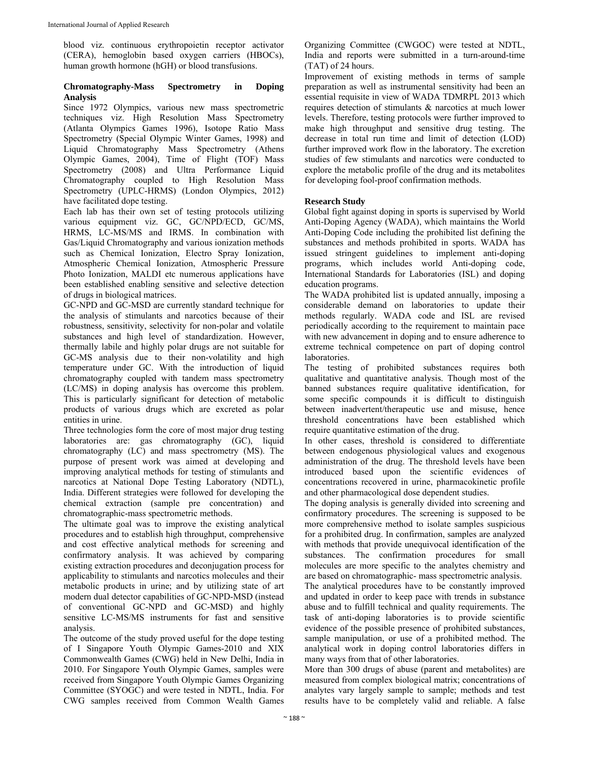blood viz. continuous erythropoietin receptor activator (CERA), hemoglobin based oxygen carriers (HBOCs), human growth hormone (hGH) or blood transfusions.

### **Chromatography-Mass Spectrometry in Doping Analysis**

Since 1972 Olympics, various new mass spectrometric techniques viz. High Resolution Mass Spectrometry (Atlanta Olympics Games 1996), Isotope Ratio Mass Spectrometry (Special Olympic Winter Games, 1998) and Liquid Chromatography Mass Spectrometry (Athens Olympic Games, 2004), Time of Flight (TOF) Mass Spectrometry (2008) and Ultra Performance Liquid Chromatography coupled to High Resolution Mass Spectrometry (UPLC-HRMS) (London Olympics, 2012) have facilitated dope testing.

Each lab has their own set of testing protocols utilizing various equipment viz. GC, GC/NPD/ECD, GC/MS, HRMS, LC-MS/MS and IRMS. In combination with Gas/Liquid Chromatography and various ionization methods such as Chemical Ionization, Electro Spray Ionization, Atmospheric Chemical Ionization, Atmospheric Pressure Photo Ionization, MALDI etc numerous applications have been established enabling sensitive and selective detection of drugs in biological matrices.

GC-NPD and GC-MSD are currently standard technique for the analysis of stimulants and narcotics because of their robustness, sensitivity, selectivity for non-polar and volatile substances and high level of standardization. However, thermally labile and highly polar drugs are not suitable for GC-MS analysis due to their non-volatility and high temperature under GC. With the introduction of liquid chromatography coupled with tandem mass spectrometry (LC/MS) in doping analysis has overcome this problem. This is particularly significant for detection of metabolic products of various drugs which are excreted as polar entities in urine.

Three technologies form the core of most major drug testing laboratories are: gas chromatography (GC), liquid chromatography (LC) and mass spectrometry (MS). The purpose of present work was aimed at developing and improving analytical methods for testing of stimulants and narcotics at National Dope Testing Laboratory (NDTL), India. Different strategies were followed for developing the chemical extraction (sample pre concentration) and chromatographic-mass spectrometric methods.

The ultimate goal was to improve the existing analytical procedures and to establish high throughput, comprehensive and cost effective analytical methods for screening and confirmatory analysis. It was achieved by comparing existing extraction procedures and deconjugation process for applicability to stimulants and narcotics molecules and their metabolic products in urine; and by utilizing state of art modern dual detector capabilities of GC-NPD-MSD (instead of conventional GC-NPD and GC-MSD) and highly sensitive LC-MS/MS instruments for fast and sensitive analysis.

The outcome of the study proved useful for the dope testing of I Singapore Youth Olympic Games-2010 and XIX Commonwealth Games (CWG) held in New Delhi, India in 2010. For Singapore Youth Olympic Games, samples were received from Singapore Youth Olympic Games Organizing Committee (SYOGC) and were tested in NDTL, India. For CWG samples received from Common Wealth Games

Organizing Committee (CWGOC) were tested at NDTL, India and reports were submitted in a turn-around-time (TAT) of 24 hours.

Improvement of existing methods in terms of sample preparation as well as instrumental sensitivity had been an essential requisite in view of WADA TDMRPL 2013 which requires detection of stimulants & narcotics at much lower levels. Therefore, testing protocols were further improved to make high throughput and sensitive drug testing. The decrease in total run time and limit of detection (LOD) further improved work flow in the laboratory. The excretion studies of few stimulants and narcotics were conducted to explore the metabolic profile of the drug and its metabolites for developing fool-proof confirmation methods.

# **Research Study**

Global fight against doping in sports is supervised by World Anti-Doping Agency (WADA), which maintains the World Anti-Doping Code including the prohibited list defining the substances and methods prohibited in sports. WADA has issued stringent guidelines to implement anti-doping programs, which includes world Anti-doping code, International Standards for Laboratories (ISL) and doping education programs.

The WADA prohibited list is updated annually, imposing a considerable demand on laboratories to update their methods regularly. WADA code and ISL are revised periodically according to the requirement to maintain pace with new advancement in doping and to ensure adherence to extreme technical competence on part of doping control laboratories.

The testing of prohibited substances requires both qualitative and quantitative analysis. Though most of the banned substances require qualitative identification, for some specific compounds it is difficult to distinguish between inadvertent/therapeutic use and misuse, hence threshold concentrations have been established which require quantitative estimation of the drug.

In other cases, threshold is considered to differentiate between endogenous physiological values and exogenous administration of the drug. The threshold levels have been introduced based upon the scientific evidences of concentrations recovered in urine, pharmacokinetic profile and other pharmacological dose dependent studies.

The doping analysis is generally divided into screening and confirmatory procedures. The screening is supposed to be more comprehensive method to isolate samples suspicious for a prohibited drug. In confirmation, samples are analyzed with methods that provide unequivocal identification of the substances. The confirmation procedures for small molecules are more specific to the analytes chemistry and are based on chromatographic- mass spectrometric analysis. The analytical procedures have to be constantly improved and updated in order to keep pace with trends in substance abuse and to fulfill technical and quality requirements. The task of anti-doping laboratories is to provide scientific evidence of the possible presence of prohibited substances, sample manipulation, or use of a prohibited method. The analytical work in doping control laboratories differs in many ways from that of other laboratories.

More than 300 drugs of abuse (parent and metabolites) are measured from complex biological matrix; concentrations of analytes vary largely sample to sample; methods and test results have to be completely valid and reliable. A false